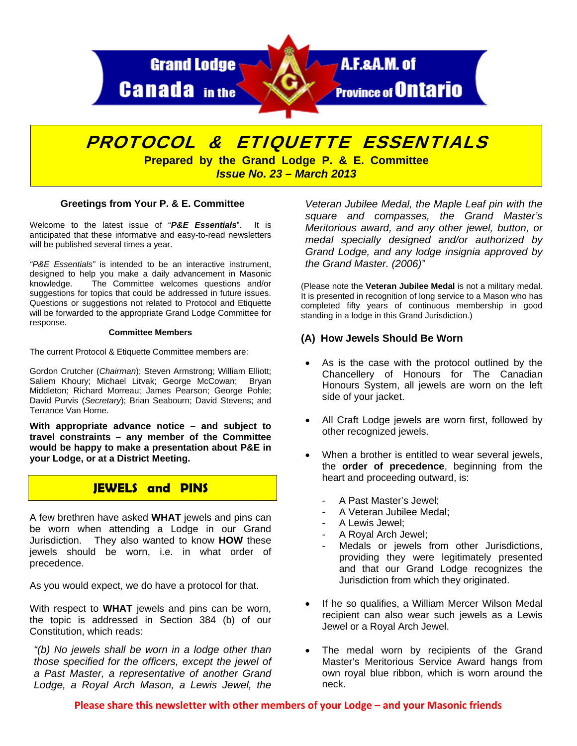

# PROTOCOL & ETIQUETTE ESSENTIALS

**Prepared by the Grand Lodge P. & E. Committee**  *Issue No. 23 – March 2013* 

#### **Greetings from Your P. & E. Committee**

Welcome to the latest issue of "*P&E Essentials*". It is anticipated that these informative and easy-to-read newsletters will be published several times a year.

*"P&E Essentials"* is intended to be an interactive instrument, designed to help you make a daily advancement in Masonic knowledge. The Committee welcomes questions and/or suggestions for topics that could be addressed in future issues. Questions or suggestions not related to Protocol and Etiquette will be forwarded to the appropriate Grand Lodge Committee for response.

#### **Committee Members**

The current Protocol & Etiquette Committee members are:

Gordon Crutcher (*Chairman*); Steven Armstrong; William Elliott; Saliem Khoury; Michael Litvak; George McCowan; Bryan Middleton; Richard Morreau; James Pearson; George Pohle; David Purvis (*Secretary*); Brian Seabourn; David Stevens; and Terrance Van Horne.

**With appropriate advance notice – and subject to travel constraints – any member of the Committee would be happy to make a presentation about P&E in your Lodge, or at a District Meeting.** 

## **JEWELS and PINS**

A few brethren have asked **WHAT** jewels and pins can be worn when attending a Lodge in our Grand Jurisdiction. They also wanted to know **HOW** these jewels should be worn, i.e. in what order of precedence.

As you would expect, we do have a protocol for that.

With respect to **WHAT** jewels and pins can be worn, the topic is addressed in Section 384 (b) of our Constitution, which reads:

*"(b) No jewels shall be worn in a lodge other than those specified for the officers, except the jewel of a Past Master, a representative of another Grand Lodge, a Royal Arch Mason, a Lewis Jewel, the*

*Veteran Jubilee Medal, the Maple Leaf pin with the square and compasses, the Grand Master's Meritorious award, and any other jewel, button, or medal specially designed and/or authorized by Grand Lodge, and any lodge insignia approved by the Grand Master. (2006)"* 

(Please note the **Veteran Jubilee Medal** is not a military medal. It is presented in recognition of long service to a Mason who has completed fifty years of continuous membership in good standing in a lodge in this Grand Jurisdiction.)

#### **(A) How Jewels Should Be Worn**

- As is the case with the protocol outlined by the Chancellery of Honours for The Canadian Honours System, all jewels are worn on the left side of your jacket.
- All Craft Lodge jewels are worn first, followed by other recognized jewels.
- When a brother is entitled to wear several jewels, the **order of precedence**, beginning from the heart and proceeding outward, is:
	- A Past Master's Jewel;
	- A Veteran Jubilee Medal;
	- A Lewis Jewel;
	- A Royal Arch Jewel;
	- Medals or jewels from other Jurisdictions, providing they were legitimately presented and that our Grand Lodge recognizes the Jurisdiction from which they originated.
- If he so qualifies, a William Mercer Wilson Medal recipient can also wear such jewels as a Lewis Jewel or a Royal Arch Jewel.
- The medal worn by recipients of the Grand Master's Meritorious Service Award hangs from own royal blue ribbon, which is worn around the neck.

**Please share this newsletter with other members of your Lodge – and your Masonic friends**